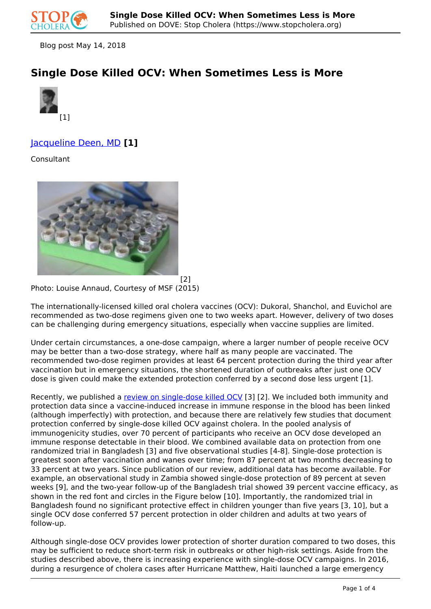

Blog post May 14, 2018

# **Single Dose Killed OCV: When Sometimes Less is More**



## Jacqueline Deen, MD **[1]**

Consultant



[2] Photo: Louise Annaud, Courtesy of MSF (2015)

The internationally-licensed killed oral cholera vaccines (OCV): Dukoral, Shanchol, and Euvichol are recommended as two-dose regimens given one to two weeks apart. However, delivery of two doses can be challenging during emergency situations, especially when vaccine supplies are limited.

Under certain circumstances, a one-dose campaign, where a larger number of people receive OCV may be better than a two-dose strategy, where half as many people are vaccinated. The recommended two-dose regimen provides at least 64 percent protection during the third year after vaccination but in emergency situations, the shortened duration of outbreaks after just one OCV dose is given could make the extended protection conferred by a second dose less urgent [1].

Recently, we published a review on single-dose killed OCV [3] [2]. We included both immunity and protection data since a vaccine-induced increase in immune response in the blood has been linked (although imperfectly) with protection, and because there are relatively few studies that document protection conferred by single-dose killed OCV against cholera. In the pooled analysis of immunogenicity studies, over 70 percent of participants who receive an OCV dose developed an immune response detectable in their blood. We combined available data on protection from one randomized trial in Bangladesh [3] and five observational studies [4-8]. Single-dose protection is greatest soon after vaccination and wanes over time; from 87 percent at two months decreasing to 33 percent at two years. Since publication of our review, additional data has become available. For example, an observational study in Zambia showed single-dose protection of 89 percent at seven weeks [9], and the two-year follow-up of the Bangladesh trial showed 39 percent vaccine efficacy, as shown in the red font and circles in the Figure below [10]. Importantly, the randomized trial in Bangladesh found no significant protective effect in children younger than five years [3, 10], but a single OCV dose conferred 57 percent protection in older children and adults at two years of follow-up.

Although single-dose OCV provides lower protection of shorter duration compared to two doses, this may be sufficient to reduce short-term risk in outbreaks or other high-risk settings. Aside from the studies described above, there is increasing experience with single-dose OCV campaigns. In 2016, during a resurgence of cholera cases after Hurricane Matthew, Haiti launched a large emergency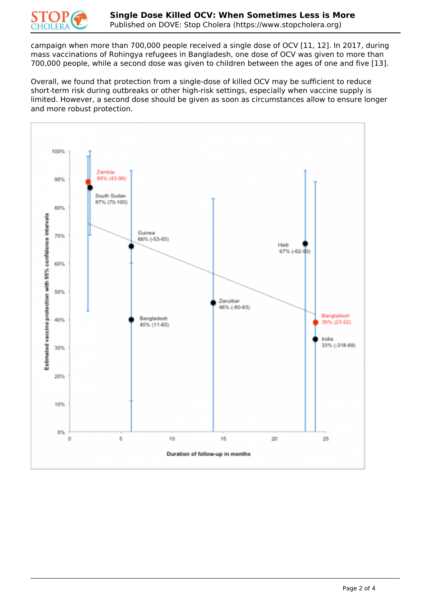

campaign when more than 700,000 people received a single dose of OCV [11, 12]. In 2017, during mass vaccinations of Rohingya refugees in Bangladesh, one dose of OCV was given to more than 700,000 people, while a second dose was given to children between the ages of one and five [13].

Overall, we found that protection from a single-dose of killed OCV may be sufficient to reduce short-term risk during outbreaks or other high-risk settings, especially when vaccine supply is limited. However, a second dose should be given as soon as circumstances allow to ensure longer and more robust protection.

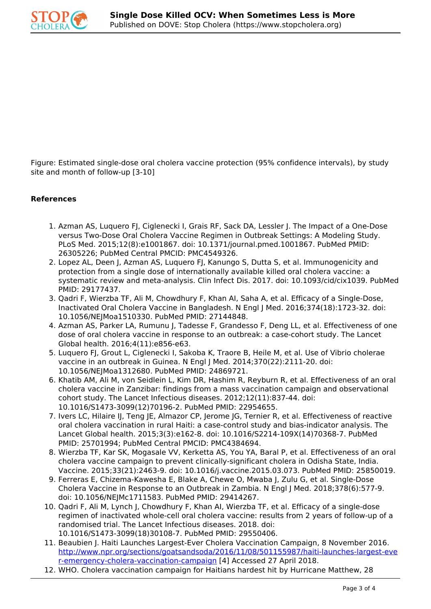

Figure: Estimated single-dose oral cholera vaccine protection (95% confidence intervals), by study site and month of follow-up [3-10]

### **References**

- 1. Azman AS, Luquero FJ, Ciglenecki I, Grais RF, Sack DA, Lessler J. The Impact of a One-Dose versus Two-Dose Oral Cholera Vaccine Regimen in Outbreak Settings: A Modeling Study. PLoS Med. 2015;12(8):e1001867. doi: 10.1371/journal.pmed.1001867. PubMed PMID: 26305226; PubMed Central PMCID: PMC4549326.
- 2. Lopez AL, Deen J, Azman AS, Luquero FJ, Kanungo S, Dutta S, et al. Immunogenicity and protection from a single dose of internationally available killed oral cholera vaccine: a systematic review and meta-analysis. Clin Infect Dis. 2017. doi: 10.1093/cid/cix1039. PubMed PMID: 29177437.
- 3. Qadri F, Wierzba TF, Ali M, Chowdhury F, Khan AI, Saha A, et al. Efficacy of a Single-Dose, Inactivated Oral Cholera Vaccine in Bangladesh. N Engl J Med. 2016;374(18):1723-32. doi: 10.1056/NEJMoa1510330. PubMed PMID: 27144848.
- 4. Azman AS, Parker LA, Rumunu J, Tadesse F, Grandesso F, Deng LL, et al. Effectiveness of one dose of oral cholera vaccine in response to an outbreak: a case-cohort study. The Lancet Global health. 2016;4(11):e856-e63.
- 5. Luquero FJ, Grout L, Ciglenecki I, Sakoba K, Traore B, Heile M, et al. Use of Vibrio cholerae vaccine in an outbreak in Guinea. N Engl J Med. 2014;370(22):2111-20. doi: 10.1056/NEJMoa1312680. PubMed PMID: 24869721.
- 6. Khatib AM, Ali M, von Seidlein L, Kim DR, Hashim R, Reyburn R, et al. Effectiveness of an oral cholera vaccine in Zanzibar: findings from a mass vaccination campaign and observational cohort study. The Lancet Infectious diseases. 2012;12(11):837-44. doi: 10.1016/S1473-3099(12)70196-2. PubMed PMID: 22954655.
- 7. Ivers LC, Hilaire IJ, Teng JE, Almazor CP, Jerome JG, Ternier R, et al. Effectiveness of reactive oral cholera vaccination in rural Haiti: a case-control study and bias-indicator analysis. The Lancet Global health. 2015;3(3):e162-8. doi: 10.1016/S2214-109X(14)70368-7. PubMed PMID: 25701994; PubMed Central PMCID: PMC4384694.
- 8. Wierzba TF, Kar SK, Mogasale VV, Kerketta AS, You YA, Baral P, et al. Effectiveness of an oral cholera vaccine campaign to prevent clinically-significant cholera in Odisha State, India. Vaccine. 2015;33(21):2463-9. doi: 10.1016/j.vaccine.2015.03.073. PubMed PMID: 25850019.
- 9. Ferreras E, Chizema-Kawesha E, Blake A, Chewe O, Mwaba J, Zulu G, et al. Single-Dose Cholera Vaccine in Response to an Outbreak in Zambia. N Engl J Med. 2018;378(6):577-9. doi: 10.1056/NEJMc1711583. PubMed PMID: 29414267.
- 10. Qadri F, Ali M, Lynch J, Chowdhury F, Khan AI, Wierzba TF, et al. Efficacy of a single-dose regimen of inactivated whole-cell oral cholera vaccine: results from 2 years of follow-up of a randomised trial. The Lancet Infectious diseases. 2018. doi: 10.1016/S1473-3099(18)30108-7. PubMed PMID: 29550406.
- 11. Beaubien J. Haiti Launches Largest-Ever Cholera Vaccination Campaign, 8 November 2016. http://www.npr.org/sections/goatsandsoda/2016/11/08/501155987/haiti-launches-largest-eve r-emergency-cholera-vaccination-campaign [4] Accessed 27 April 2018.
- 12. WHO. Cholera vaccination campaign for Haitians hardest hit by Hurricane Matthew, 28